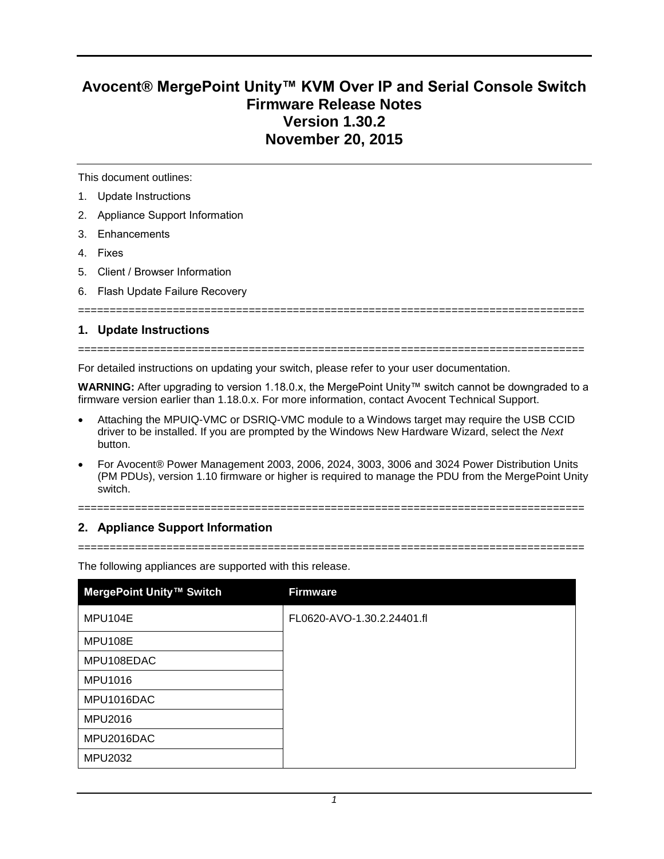# **Avocent® MergePoint Unity™ KVM Over IP and Serial Console Switch Firmware Release Notes Version 1.30.2 November 20, 2015**

This document outlines:

- 1. Update Instructions
- 2. Appliance Support Information
- 3. Enhancements
- 4. Fixes
- 5. Client / Browser Information
- 6. Flash Update Failure Recovery

#### **1. Update Instructions**

================================================================================

For detailed instructions on updating your switch, please refer to your user documentation.

**WARNING:** After upgrading to version 1.18.0.x, the MergePoint Unity™ switch cannot be downgraded to a firmware version earlier than 1.18.0.x. For more information, contact Avocent Technical Support.

================================================================================

- Attaching the MPUIQ-VMC or DSRIQ-VMC module to a Windows target may require the USB CCID driver to be installed. If you are prompted by the Windows New Hardware Wizard, select the *Next* button.
- For Avocent® Power Management 2003, 2006, 2024, 3003, 3006 and 3024 Power Distribution Units (PM PDUs), version 1.10 firmware or higher is required to manage the PDU from the MergePoint Unity switch.

================================================================================

# **2. Appliance Support Information**

================================================================================

The following appliances are supported with this release.

| MergePoint Unity™ Switch | <b>Firmware</b>            |
|--------------------------|----------------------------|
| MPU104E                  | FL0620-AVO-1.30.2.24401.fl |
| MPU108E                  |                            |
| MPU108EDAC               |                            |
| MPU1016                  |                            |
| MPU1016DAC               |                            |
| <b>MPU2016</b>           |                            |
| MPU2016DAC               |                            |
| MPU2032                  |                            |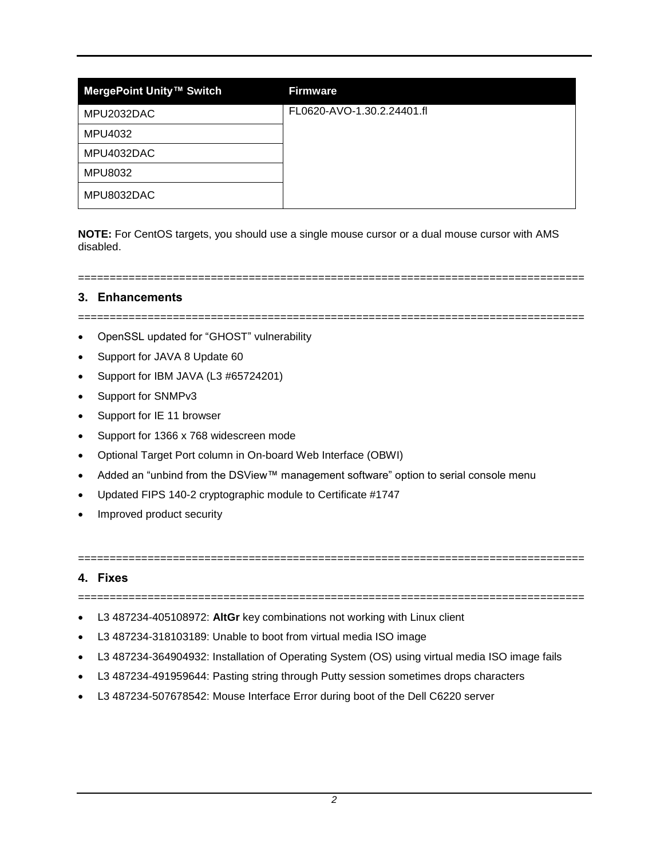| MergePoint Unity™ Switch | <b>Firmware</b>            |
|--------------------------|----------------------------|
| MPU2032DAC               | FL0620-AVO-1.30.2.24401.fl |
| MPU4032                  |                            |
| MPU4032DAC               |                            |
| <b>MPU8032</b>           |                            |
| MPU8032DAC               |                            |

**NOTE:** For CentOS targets, you should use a single mouse cursor or a dual mouse cursor with AMS disabled.

# **3. Enhancements**

================================================================================

================================================================================

- OpenSSL updated for "GHOST" vulnerability
- Support for JAVA 8 Update 60
- Support for IBM JAVA (L3 #65724201)
- Support for SNMPv3
- Support for IE 11 browser
- Support for 1366 x 768 widescreen mode
- Optional Target Port column in On-board Web Interface (OBWI)
- Added an "unbind from the DSView™ management software" option to serial console menu
- Updated FIPS 140-2 cryptographic module to Certificate #1747
- Improved product security

## **4. Fixes**

================================================================================

================================================================================

- L3 487234-405108972: **AltGr** key combinations not working with Linux client
- L3 487234-318103189: Unable to boot from virtual media ISO image
- L3 487234-364904932: Installation of Operating System (OS) using virtual media ISO image fails
- L3 487234-491959644: Pasting string through Putty session sometimes drops characters
- L3 487234-507678542: Mouse Interface Error during boot of the Dell C6220 server